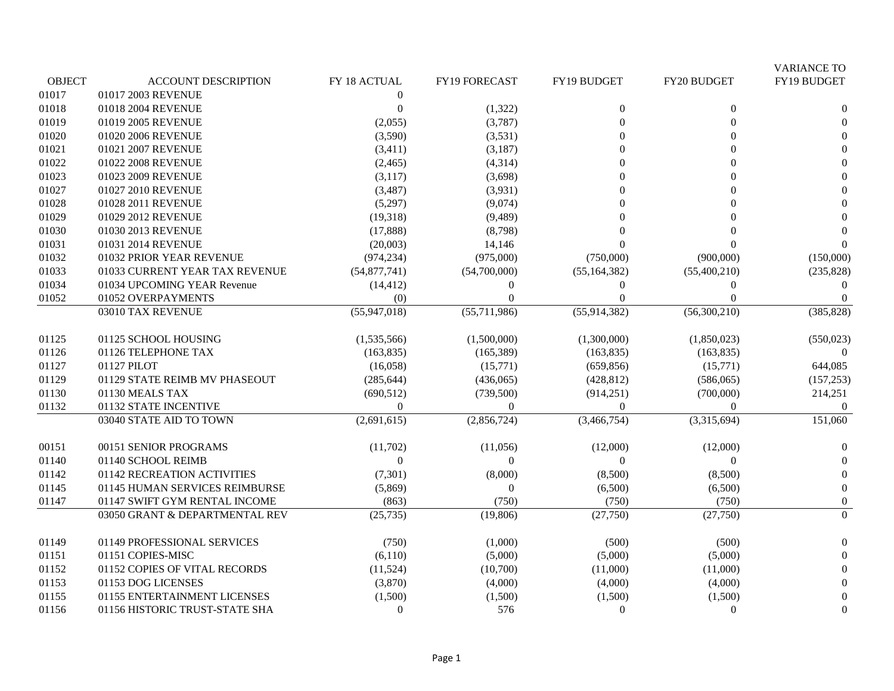|               |                                |                           |                  |                |                    | <b>VARIANCE TO</b> |
|---------------|--------------------------------|---------------------------|------------------|----------------|--------------------|--------------------|
| <b>OBJECT</b> | <b>ACCOUNT DESCRIPTION</b>     | FY 18 ACTUAL              | FY19 FORECAST    | FY19 BUDGET    | <b>FY20 BUDGET</b> | FY19 BUDGET        |
| 01017         | 01017 2003 REVENUE             | $\overline{0}$            |                  |                |                    |                    |
| 01018         | 01018 2004 REVENUE             | $\boldsymbol{0}$          | (1,322)          | $\mathbf{0}$   | $\theta$           | $\boldsymbol{0}$   |
| 01019         | 01019 2005 REVENUE             | (2,055)                   | (3,787)          | 0              | $\Omega$           | $\Omega$           |
| 01020         | 01020 2006 REVENUE             | (3,590)                   | (3,531)          | 0              | $\Omega$           | $\Omega$           |
| 01021         | 01021 2007 REVENUE             | (3, 411)                  | (3,187)          |                | $\Omega$           | $\Omega$           |
| 01022         | 01022 2008 REVENUE             | (2,465)                   | (4,314)          | 0              |                    | $\mathbf{0}$       |
| 01023         | 01023 2009 REVENUE             | (3,117)                   | (3,698)          | ∩              | 0                  | $\Omega$           |
| 01027         | 01027 2010 REVENUE             | (3,487)                   | (3,931)          | 0              | $\Omega$           | $\Omega$           |
| 01028         | 01028 2011 REVENUE             | (5,297)                   | (9,074)          | 0              | $\Omega$           | $\Omega$           |
| 01029         | 01029 2012 REVENUE             | (19,318)                  | (9,489)          | ∩              |                    | $\Omega$           |
| 01030         | 01030 2013 REVENUE             | (17, 888)                 | (8,798)          |                |                    | $\Omega$           |
| 01031         | 01031 2014 REVENUE             | (20,003)                  | 14,146           |                |                    |                    |
| 01032         | 01032 PRIOR YEAR REVENUE       | (974, 234)                | (975,000)        | (750,000)      | (900,000)          | (150,000)          |
| 01033         | 01033 CURRENT YEAR TAX REVENUE | (54, 877, 741)            | (54,700,000)     | (55, 164, 382) | (55,400,210)       | (235, 828)         |
| 01034         | 01034 UPCOMING YEAR Revenue    | (14, 412)                 | $\boldsymbol{0}$ | $\overline{0}$ | $\mathbf{0}$       | $\Omega$           |
| 01052         | 01052 OVERPAYMENTS             | (0)                       | $\Omega$         | 0              | $\Omega$           | $\Omega$           |
|               | 03010 TAX REVENUE              | $\overline{(55,947,018)}$ | (55,711,986)     | (55, 914, 382) | (56,300,210)       | (385, 828)         |
| 01125         | 01125 SCHOOL HOUSING           | (1,535,566)               | (1,500,000)      | (1,300,000)    | (1,850,023)        | (550, 023)         |
| 01126         | 01126 TELEPHONE TAX            | (163, 835)                | (165, 389)       | (163, 835)     | (163, 835)         | $\Omega$           |
| 01127         | 01127 PILOT                    | (16,058)                  | (15,771)         | (659, 856)     | (15,771)           | 644,085            |
| 01129         | 01129 STATE REIMB MV PHASEOUT  | (285, 644)                | (436,065)        | (428, 812)     | (586,065)          | (157, 253)         |
| 01130         | 01130 MEALS TAX                | (690, 512)                | (739, 500)       | (914, 251)     | (700,000)          | 214,251            |
| 01132         | 01132 STATE INCENTIVE          | $\overline{0}$            | $\overline{0}$   | $\overline{0}$ | $\mathbf{0}$       | $\overline{0}$     |
|               | 03040 STATE AID TO TOWN        | (2,691,615)               | (2,856,724)      | (3,466,754)    | (3,315,694)        | 151,060            |
| 00151         | 00151 SENIOR PROGRAMS          | (11,702)                  | (11,056)         | (12,000)       | (12,000)           | $\overline{0}$     |
| 01140         | 01140 SCHOOL REIMB             | $\overline{0}$            | $\overline{0}$   | $\Omega$       | $\theta$           | $\theta$           |
| 01142         | 01142 RECREATION ACTIVITIES    | (7, 301)                  | (8,000)          | (8,500)        | (8,500)            | $\overline{0}$     |
| 01145         | 01145 HUMAN SERVICES REIMBURSE | (5,869)                   | $\overline{0}$   | (6,500)        | (6,500)            | $\mathbf{0}$       |
| 01147         | 01147 SWIFT GYM RENTAL INCOME  | (863)                     | (750)            | (750)          | (750)              | $\boldsymbol{0}$   |
|               | 03050 GRANT & DEPARTMENTAL REV | (25, 735)                 | (19,806)         | (27,750)       | (27,750)           | $\overline{0}$     |
| 01149         | 01149 PROFESSIONAL SERVICES    | (750)                     | (1,000)          | (500)          | (500)              | $\mathbf{0}$       |
| 01151         | 01151 COPIES-MISC              | (6,110)                   | (5,000)          | (5,000)        | (5,000)            | $\mathbf{0}$       |
| 01152         | 01152 COPIES OF VITAL RECORDS  | (11,524)                  | (10,700)         | (11,000)       | (11,000)           | $\Omega$           |
| 01153         | 01153 DOG LICENSES             | (3,870)                   | (4,000)          | (4,000)        | (4,000)            | $\Omega$           |
| 01155         | 01155 ENTERTAINMENT LICENSES   | (1,500)                   | (1,500)          | (1,500)        | (1,500)            | $\mathbf{0}$       |
| 01156         | 01156 HISTORIC TRUST-STATE SHA | $\overline{0}$            | 576              | $\overline{0}$ | $\theta$           | $\Omega$           |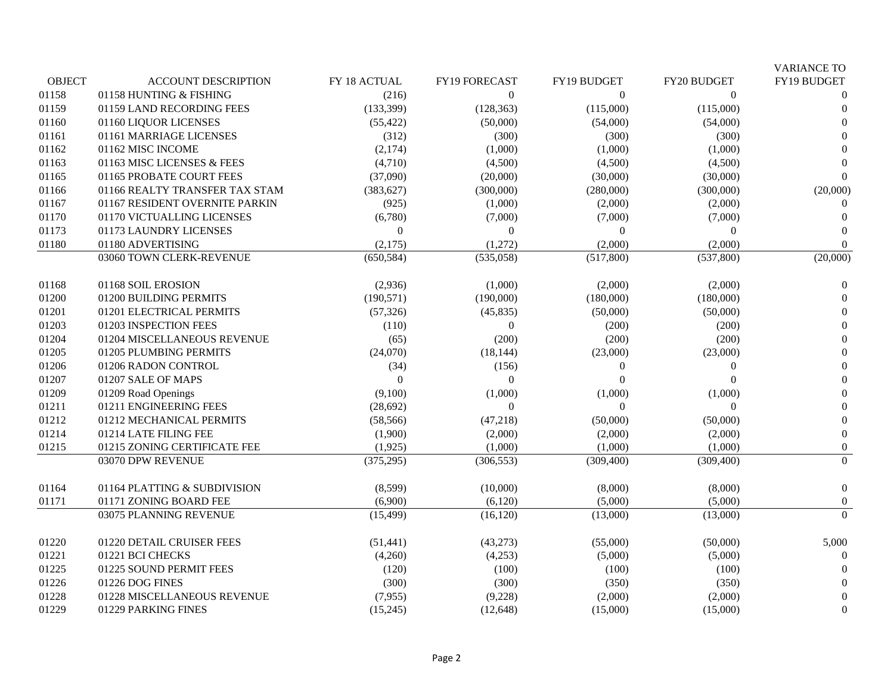|               |                                |              |                  |                |             | <b>VARIANCE TO</b> |
|---------------|--------------------------------|--------------|------------------|----------------|-------------|--------------------|
| <b>OBJECT</b> | <b>ACCOUNT DESCRIPTION</b>     | FY 18 ACTUAL | FY19 FORECAST    | FY19 BUDGET    | FY20 BUDGET | FY19 BUDGET        |
| 01158         | 01158 HUNTING & FISHING        | (216)        | $\boldsymbol{0}$ | $\overline{0}$ | $\Omega$    | $\Omega$           |
| 01159         | 01159 LAND RECORDING FEES      | (133, 399)   | (128, 363)       | (115,000)      | (115,000)   | $\Omega$           |
| 01160         | 01160 LIQUOR LICENSES          | (55, 422)    | (50,000)         | (54,000)       | (54,000)    | $\theta$           |
| 01161         | 01161 MARRIAGE LICENSES        | (312)        | (300)            | (300)          | (300)       | $\Omega$           |
| 01162         | 01162 MISC INCOME              | (2,174)      | (1,000)          | (1,000)        | (1,000)     | $\Omega$           |
| 01163         | 01163 MISC LICENSES & FEES     | (4,710)      | (4,500)          | (4,500)        | (4,500)     |                    |
| 01165         | 01165 PROBATE COURT FEES       | (37,090)     | (20,000)         | (30,000)       | (30,000)    | ∩                  |
| 01166         | 01166 REALTY TRANSFER TAX STAM | (383, 627)   | (300,000)        | (280,000)      | (300,000)   | (20,000)           |
| 01167         | 01167 RESIDENT OVERNITE PARKIN | (925)        | (1,000)          | (2,000)        | (2,000)     |                    |
| 01170         | 01170 VICTUALLING LICENSES     | (6,780)      | (7,000)          | (7,000)        | (7,000)     | $\Omega$           |
| 01173         | 01173 LAUNDRY LICENSES         | $\mathbf{0}$ | $\boldsymbol{0}$ | $\Omega$       | $\Omega$    | $\theta$           |
| 01180         | 01180 ADVERTISING              | (2,175)      | (1,272)          | (2,000)        | (2,000)     | $\overline{0}$     |
|               | 03060 TOWN CLERK-REVENUE       | (650, 584)   | (535,058)        | (517,800)      | (537,800)   | (20,000)           |
| 01168         | 01168 SOIL EROSION             | (2,936)      | (1,000)          | (2,000)        | (2,000)     | $\overline{0}$     |
| 01200         | 01200 BUILDING PERMITS         | (190, 571)   | (190,000)        | (180,000)      | (180,000)   | $\theta$           |
| 01201         | 01201 ELECTRICAL PERMITS       | (57, 326)    | (45, 835)        | (50,000)       | (50,000)    | $\overline{0}$     |
| 01203         | 01203 INSPECTION FEES          | (110)        | $\theta$         | (200)          | (200)       | $\Omega$           |
| 01204         | 01204 MISCELLANEOUS REVENUE    | (65)         | (200)            | (200)          | (200)       | $\Omega$           |
| 01205         | 01205 PLUMBING PERMITS         | (24,070)     | (18, 144)        | (23,000)       | (23,000)    | $\theta$           |
| 01206         | 01206 RADON CONTROL            | (34)         | (156)            | $\theta$       | $\Omega$    | $\theta$           |
| 01207         | 01207 SALE OF MAPS             | $\Omega$     | $\theta$         | $\Omega$       | 0           | $\theta$           |
| 01209         | 01209 Road Openings            | (9,100)      | (1,000)          | (1,000)        | (1,000)     | $\overline{0}$     |
| 01211         | 01211 ENGINEERING FEES         | (28, 692)    | $\theta$         | $\theta$       | $\Omega$    | $\theta$           |
| 01212         | 01212 MECHANICAL PERMITS       | (58, 566)    | (47, 218)        | (50,000)       | (50,000)    | $\theta$           |
| 01214         | 01214 LATE FILING FEE          | (1,900)      | (2,000)          | (2,000)        | (2,000)     | $\boldsymbol{0}$   |
| 01215         | 01215 ZONING CERTIFICATE FEE   | (1,925)      | (1,000)          | (1,000)        | (1,000)     | $\boldsymbol{0}$   |
|               | 03070 DPW REVENUE              | (375, 295)   | (306, 553)       | (309, 400)     | (309, 400)  | $\boldsymbol{0}$   |
| 01164         | 01164 PLATTING & SUBDIVISION   | (8,599)      | (10,000)         | (8,000)        | (8,000)     | $\boldsymbol{0}$   |
| 01171         | 01171 ZONING BOARD FEE         | (6,900)      | (6,120)          | (5,000)        | (5,000)     | $\boldsymbol{0}$   |
|               | 03075 PLANNING REVENUE         | (15, 499)    | (16, 120)        | (13,000)       | (13,000)    | $\Omega$           |
| 01220         | 01220 DETAIL CRUISER FEES      | (51, 441)    | (43, 273)        | (55,000)       | (50,000)    | 5,000              |
| 01221         | 01221 BCI CHECKS               | (4,260)      | (4,253)          | (5,000)        | (5,000)     | $\Omega$           |
| 01225         | 01225 SOUND PERMIT FEES        | (120)        | (100)            | (100)          | (100)       |                    |
| 01226         | 01226 DOG FINES                | (300)        | (300)            | (350)          | (350)       | $\Omega$           |
| 01228         | 01228 MISCELLANEOUS REVENUE    | (7,955)      | (9,228)          | (2,000)        | (2,000)     | $\Omega$           |
| 01229         | 01229 PARKING FINES            | (15,245)     | (12, 648)        | (15,000)       | (15,000)    | $\theta$           |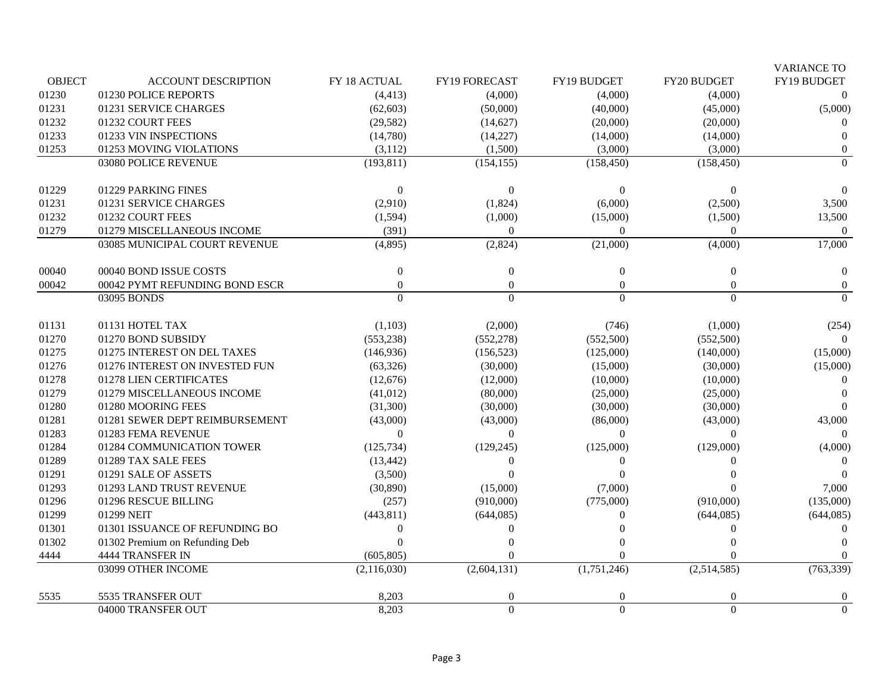|               |                                |                  |                  |                |              | <b>VARIANCE TO</b> |
|---------------|--------------------------------|------------------|------------------|----------------|--------------|--------------------|
| <b>OBJECT</b> | <b>ACCOUNT DESCRIPTION</b>     | FY 18 ACTUAL     | FY19 FORECAST    | FY19 BUDGET    | FY20 BUDGET  | FY19 BUDGET        |
| 01230         | 01230 POLICE REPORTS           | (4, 413)         | (4,000)          | (4,000)        | (4,000)      | $\Omega$           |
| 01231         | 01231 SERVICE CHARGES          | (62, 603)        | (50,000)         | (40,000)       | (45,000)     | (5,000)            |
| 01232         | 01232 COURT FEES               | (29, 582)        | (14,627)         | (20,000)       | (20,000)     |                    |
| 01233         | 01233 VIN INSPECTIONS          | (14,780)         | (14,227)         | (14,000)       | (14,000)     | $\Omega$           |
| 01253         | 01253 MOVING VIOLATIONS        | (3,112)          | (1,500)          | (3,000)        | (3,000)      | $\theta$           |
|               | 03080 POLICE REVENUE           | (193, 811)       | (154, 155)       | (158, 450)     | (158, 450)   | $\Omega$           |
| 01229         | 01229 PARKING FINES            | $\mathbf{0}$     | $\Omega$         | $\Omega$       | $\theta$     | $\Omega$           |
| 01231         | 01231 SERVICE CHARGES          | (2,910)          | (1,824)          | (6,000)        | (2,500)      | 3,500              |
| 01232         | 01232 COURT FEES               | (1, 594)         | (1,000)          | (15,000)       | (1,500)      | 13,500             |
| 01279         | 01279 MISCELLANEOUS INCOME     | (391)            | $\overline{0}$   | $\overline{0}$ | $\Omega$     | $\overline{0}$     |
|               | 03085 MUNICIPAL COURT REVENUE  | (4,895)          | (2,824)          | (21,000)       | (4,000)      | 17,000             |
| 00040         | 00040 BOND ISSUE COSTS         | $\boldsymbol{0}$ | $\boldsymbol{0}$ | $\overline{0}$ | $\mathbf{0}$ | $\mathbf{0}$       |
| 00042         | 00042 PYMT REFUNDING BOND ESCR | $\Omega$         | $\theta$         | $\Omega$       | $\Omega$     | $\overline{0}$     |
|               | 03095 BONDS                    | $\Omega$         | $\Omega$         | $\Omega$       | $\Omega$     | $\Omega$           |
| 01131         | 01131 HOTEL TAX                | (1,103)          | (2,000)          | (746)          | (1,000)      | (254)              |
| 01270         | 01270 BOND SUBSIDY             | (553, 238)       | (552, 278)       | (552,500)      | (552,500)    | $\Omega$           |
| 01275         | 01275 INTEREST ON DEL TAXES    | (146, 936)       | (156, 523)       | (125,000)      | (140,000)    | (15,000)           |
| 01276         | 01276 INTEREST ON INVESTED FUN | (63, 326)        | (30,000)         | (15,000)       | (30,000)     | (15,000)           |
| 01278         | 01278 LIEN CERTIFICATES        | (12,676)         | (12,000)         | (10,000)       | (10,000)     | 0                  |
| 01279         | 01279 MISCELLANEOUS INCOME     | (41, 012)        | (80,000)         | (25,000)       | (25,000)     |                    |
| 01280         | 01280 MOORING FEES             | (31,300)         | (30,000)         | (30,000)       | (30,000)     |                    |
| 01281         | 01281 SEWER DEPT REIMBURSEMENT | (43,000)         | (43,000)         | (86,000)       | (43,000)     | 43,000             |
| 01283         | 01283 FEMA REVENUE             | $\Omega$         | $\theta$         | $\Omega$       | $\theta$     | $\Omega$           |
| 01284         | 01284 COMMUNICATION TOWER      | (125, 734)       | (129, 245)       | (125,000)      | (129,000)    | (4,000)            |
| 01289         | 01289 TAX SALE FEES            | (13, 442)        | $\Omega$         | $\Omega$       | $\Omega$     | $\theta$           |
| 01291         | 01291 SALE OF ASSETS           | (3,500)          | $\Omega$         | $\Omega$       |              |                    |
| 01293         | 01293 LAND TRUST REVENUE       | (30, 890)        | (15,000)         | (7,000)        |              | 7,000              |
| 01296         | 01296 RESCUE BILLING           | (257)            | (910,000)        | (775,000)      | (910,000)    | (135,000)          |
| 01299         | 01299 NEIT                     | (443, 811)       | (644, 085)       | $\Omega$       | (644, 085)   | (644, 085)         |
| 01301         | 01301 ISSUANCE OF REFUNDING BO | $\theta$         | $\Omega$         | $\Omega$       | $\Omega$     | ∩                  |
| 01302         | 01302 Premium on Refunding Deb | $\Omega$         | 0                | $\Omega$       |              |                    |
| 4444          | 4444 TRANSFER IN               | (605, 805)       | $\Omega$         | $\Omega$       |              | 0                  |
|               | 03099 OTHER INCOME             | (2,116,030)      | (2,604,131)      | (1,751,246)    | (2,514,585)  | (763, 339)         |
| 5535          | 5535 TRANSFER OUT              | 8,203            | $\overline{0}$   | $\theta$       |              | $\overline{0}$     |
|               | 04000 TRANSFER OUT             | 8,203            | $\Omega$         | $\Omega$       | $\Omega$     | $\Omega$           |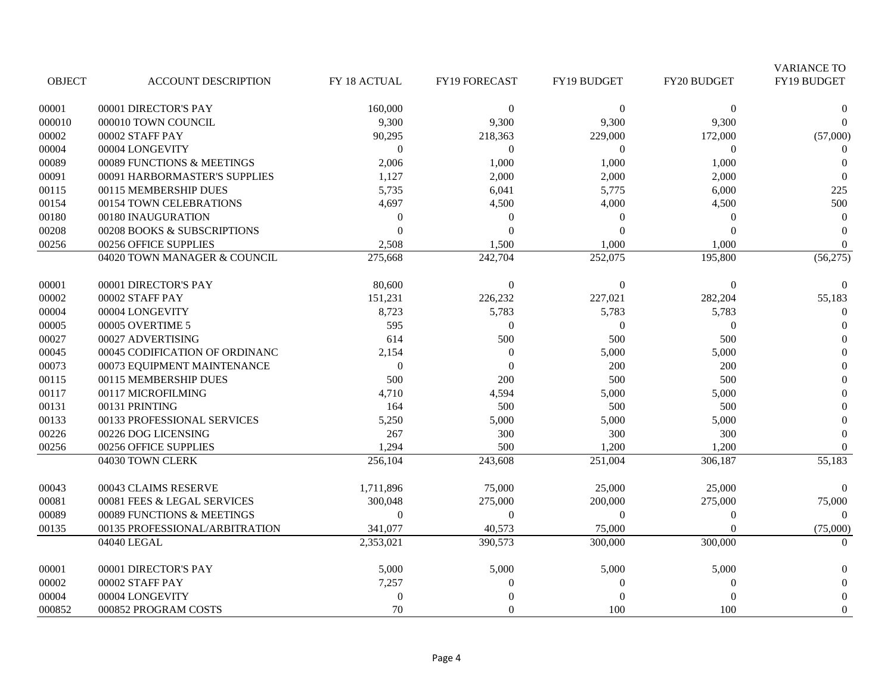|               |                                |                  |                      |                      |             | <b>VARIANCE TO</b> |
|---------------|--------------------------------|------------------|----------------------|----------------------|-------------|--------------------|
| <b>OBJECT</b> | <b>ACCOUNT DESCRIPTION</b>     | FY 18 ACTUAL     | FY19 FORECAST        | FY19 BUDGET          | FY20 BUDGET | FY19 BUDGET        |
| 00001         | 00001 DIRECTOR'S PAY           | 160,000          | $\mathbf{0}$         | $\boldsymbol{0}$     | $\Omega$    | $\Omega$           |
| 000010        | 000010 TOWN COUNCIL            | 9,300            | 9,300                | 9,300                | 9,300       | $\Omega$           |
| 00002         | 00002 STAFF PAY                | 90,295           | 218,363              | 229,000              | 172,000     | (57,000)           |
| 00004         | 00004 LONGEVITY                | $\mathbf{0}$     | $\overline{0}$       | $\theta$             | $\Omega$    | $\overline{0}$     |
| 00089         | 00089 FUNCTIONS & MEETINGS     | 2,006            | 1,000                | 1,000                | 1,000       | $\Omega$           |
| 00091         | 00091 HARBORMASTER'S SUPPLIES  | 1,127            | 2,000                | 2,000                | 2,000       | $\Omega$           |
| 00115         | 00115 MEMBERSHIP DUES          | 5,735            | 6,041                | 5,775                | 6,000       | 225                |
| 00154         | 00154 TOWN CELEBRATIONS        | 4,697            | 4,500                | 4,000                | 4,500       | 500                |
| 00180         | 00180 INAUGURATION             | $\theta$         | $\Omega$             | $\theta$             | $\Omega$    | $\overline{0}$     |
| 00208         | 00208 BOOKS & SUBSCRIPTIONS    | $\Omega$         | $\Omega$             | $\Omega$             | $\Omega$    | $\Omega$           |
| 00256         | 00256 OFFICE SUPPLIES          | 2,508            | 1,500                | 1,000                | 1,000       | $\Omega$           |
|               | 04020 TOWN MANAGER & COUNCIL   | 275,668          | 242,704              | 252,075              | 195,800     | (56,275)           |
| 00001         | 00001 DIRECTOR'S PAY           | 80,600           | $\boldsymbol{0}$     | $\boldsymbol{0}$     | $\Omega$    | $\Omega$           |
| 00002         | 00002 STAFF PAY                | 151,231          | 226,232              | 227,021              | 282,204     | 55,183             |
| 00004         | 00004 LONGEVITY                | 8,723            | 5,783                | 5,783                | 5,783       | $\boldsymbol{0}$   |
| 00005         | 00005 OVERTIME 5               | 595              | $\theta$             | $\theta$             | $\Omega$    | $\Omega$           |
| 00027         | 00027 ADVERTISING              | 614              | 500                  | 500                  | 500         | $\Omega$           |
| 00045         | 00045 CODIFICATION OF ORDINANC | 2,154            | $\boldsymbol{0}$     | 5,000                | 5,000       | $\Omega$           |
| 00073         | 00073 EQUIPMENT MAINTENANCE    | $\mathbf{0}$     | $\Omega$             | 200                  | 200         | $\Omega$           |
| 00115         | 00115 MEMBERSHIP DUES          | 500              | 200                  | 500                  | 500         | $\overline{0}$     |
| 00117         | 00117 MICROFILMING             | 4,710            | 4,594                | 5,000                | 5,000       | $\Omega$           |
| 00131         | 00131 PRINTING                 | 164              | 500                  | 500                  | 500         | $\Omega$           |
| 00133         | 00133 PROFESSIONAL SERVICES    | 5,250            | 5,000                | 5,000                | 5,000       | $\Omega$           |
| 00226         | 00226 DOG LICENSING            | 267              | 300                  | 300                  | 300         | $\Omega$           |
| 00256         | 00256 OFFICE SUPPLIES          | 1,294            | 500                  | 1,200                | 1,200       | $\Omega$           |
|               | 04030 TOWN CLERK               | 256,104          | $\overline{2}43,608$ | $\overline{251,004}$ | 306,187     | 55,183             |
| 00043         | 00043 CLAIMS RESERVE           | 1,711,896        | 75,000               | 25,000               | 25,000      |                    |
| 00081         | 00081 FEES & LEGAL SERVICES    | 300,048          | 275,000              | 200,000              | 275,000     | 75,000             |
| 00089         | 00089 FUNCTIONS & MEETINGS     | $\Omega$         | $\Omega$             | $\theta$             | $\Omega$    | $\Omega$           |
| 00135         | 00135 PROFESSIONAL/ARBITRATION | 341,077          | 40,573               | 75,000               | $\Omega$    | (75,000)           |
|               | 04040 LEGAL                    | 2,353,021        | 390,573              | 300,000              | 300,000     | $\Omega$           |
| 00001         | 00001 DIRECTOR'S PAY           | 5,000            | 5,000                | 5,000                | 5,000       | $\Omega$           |
| 00002         | 00002 STAFF PAY                | 7,257            | $\overline{0}$       | $\overline{0}$       | $\Omega$    | $\Omega$           |
| 00004         | 00004 LONGEVITY                | $\boldsymbol{0}$ |                      | $\theta$             | $\Omega$    | $\mathbf{0}$       |
| 000852        | 000852 PROGRAM COSTS           | 70               | $\Omega$             | 100                  | 100         | $\theta$           |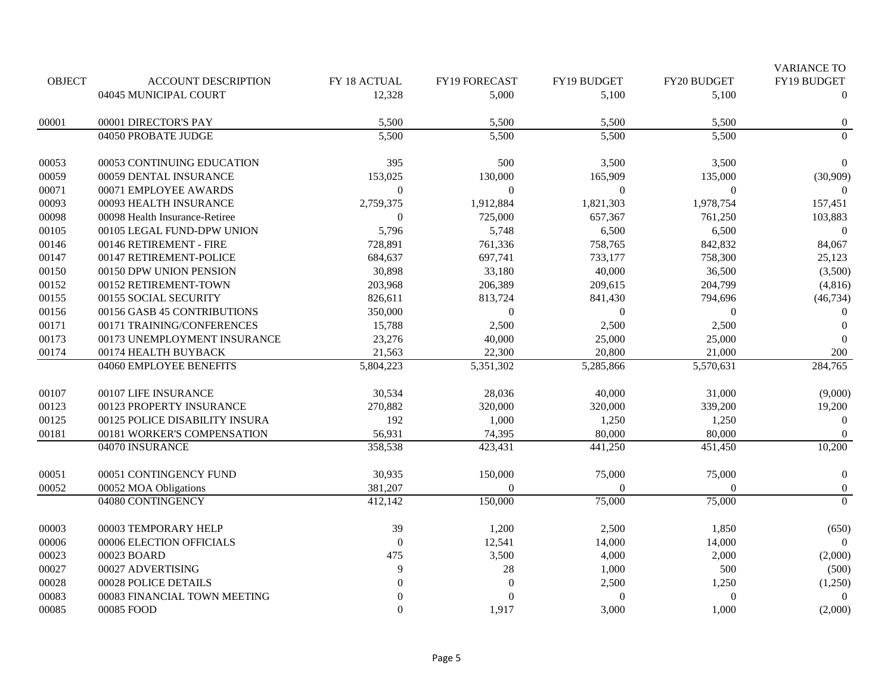|               |                                |                  |                  |                |             | <b>VARIANCE TO</b> |
|---------------|--------------------------------|------------------|------------------|----------------|-------------|--------------------|
| <b>OBJECT</b> | <b>ACCOUNT DESCRIPTION</b>     | FY 18 ACTUAL     | FY19 FORECAST    | FY19 BUDGET    | FY20 BUDGET | FY19 BUDGET        |
|               | 04045 MUNICIPAL COURT          | 12,328           | 5,000            | 5,100          | 5,100       | $\theta$           |
| 00001         | 00001 DIRECTOR'S PAY           | 5,500            | 5,500            | 5,500          | 5,500       | $\boldsymbol{0}$   |
|               | 04050 PROBATE JUDGE            | 5,500            | 5,500            | 5,500          | 5,500       | $\boldsymbol{0}$   |
| 00053         | 00053 CONTINUING EDUCATION     | 395              | 500              | 3,500          | 3,500       | $\theta$           |
| 00059         | 00059 DENTAL INSURANCE         | 153,025          | 130,000          | 165,909        | 135,000     | (30,909)           |
| 00071         | 00071 EMPLOYEE AWARDS          | $\mathbf{0}$     | $\mathbf{0}$     | $\overline{0}$ | $\Omega$    | $\Omega$           |
| 00093         | 00093 HEALTH INSURANCE         | 2,759,375        | 1,912,884        | 1,821,303      | 1,978,754   | 157,451            |
| 00098         | 00098 Health Insurance-Retiree | $\boldsymbol{0}$ | 725,000          | 657,367        | 761,250     | 103,883            |
| 00105         | 00105 LEGAL FUND-DPW UNION     | 5,796            | 5,748            | 6,500          | 6,500       | $\overline{0}$     |
| 00146         | 00146 RETIREMENT - FIRE        | 728,891          | 761,336          | 758,765        | 842,832     | 84,067             |
| 00147         | 00147 RETIREMENT-POLICE        | 684,637          | 697,741          | 733,177        | 758,300     | 25,123             |
| 00150         | 00150 DPW UNION PENSION        | 30,898           | 33,180           | 40,000         | 36,500      | (3,500)            |
| 00152         | 00152 RETIREMENT-TOWN          | 203,968          | 206,389          | 209,615        | 204,799     | (4,816)            |
| 00155         | 00155 SOCIAL SECURITY          | 826,611          | 813,724          | 841,430        | 794,696     | (46, 734)          |
| 00156         | 00156 GASB 45 CONTRIBUTIONS    | 350,000          | $\mathbf{0}$     | $\overline{0}$ | $\Omega$    | $\boldsymbol{0}$   |
| 00171         | 00171 TRAINING/CONFERENCES     | 15,788           | 2,500            | 2,500          | 2,500       | $\boldsymbol{0}$   |
| 00173         | 00173 UNEMPLOYMENT INSURANCE   | 23,276           | 40,000           | 25,000         | 25,000      | $\Omega$           |
| 00174         | 00174 HEALTH BUYBACK           | 21,563           | 22,300           | 20,800         | 21,000      | 200                |
|               | 04060 EMPLOYEE BENEFITS        | 5,804,223        | 5,351,302        | 5,285,866      | 5,570,631   | 284,765            |
| 00107         | 00107 LIFE INSURANCE           | 30,534           | 28,036           | 40,000         | 31,000      | (9,000)            |
| 00123         | 00123 PROPERTY INSURANCE       | 270,882          | 320,000          | 320,000        | 339,200     | 19,200             |
| 00125         | 00125 POLICE DISABILITY INSURA | 192              | 1,000            | 1,250          | 1,250       | $\overline{0}$     |
| 00181         | 00181 WORKER'S COMPENSATION    | 56,931           | 74,395           | 80,000         | 80,000      | $\theta$           |
|               | 04070 INSURANCE                | 358,538          | 423,431          | 441,250        | 451,450     | 10,200             |
| 00051         | 00051 CONTINGENCY FUND         | 30,935           | 150,000          | 75,000         | 75,000      | $\boldsymbol{0}$   |
| 00052         | 00052 MOA Obligations          | 381,207          | $\Omega$         | $\Omega$       | $\Omega$    | $\boldsymbol{0}$   |
|               | 04080 CONTINGENCY              | 412,142          | 150,000          | 75,000         | 75,000      | $\mathbf{0}$       |
| 00003         | 00003 TEMPORARY HELP           | 39               | 1,200            | 2,500          | 1,850       | (650)              |
| 00006         | 00006 ELECTION OFFICIALS       | $\boldsymbol{0}$ | 12,541           | 14,000         | 14,000      | $\theta$           |
| 00023         | 00023 BOARD                    | 475              | 3,500            | 4,000          | 2,000       | (2,000)            |
| 00027         | 00027 ADVERTISING              | 9                | $28\,$           | 1,000          | 500         | (500)              |
| 00028         | 00028 POLICE DETAILS           | $\theta$         | $\boldsymbol{0}$ | 2,500          | 1,250       | (1,250)            |
| 00083         | 00083 FINANCIAL TOWN MEETING   | $\Omega$         | $\theta$         | $\Omega$       | $\Omega$    | $\Omega$           |
| 00085         | 00085 FOOD                     | $\Omega$         | 1,917            | 3,000          | 1,000       | (2,000)            |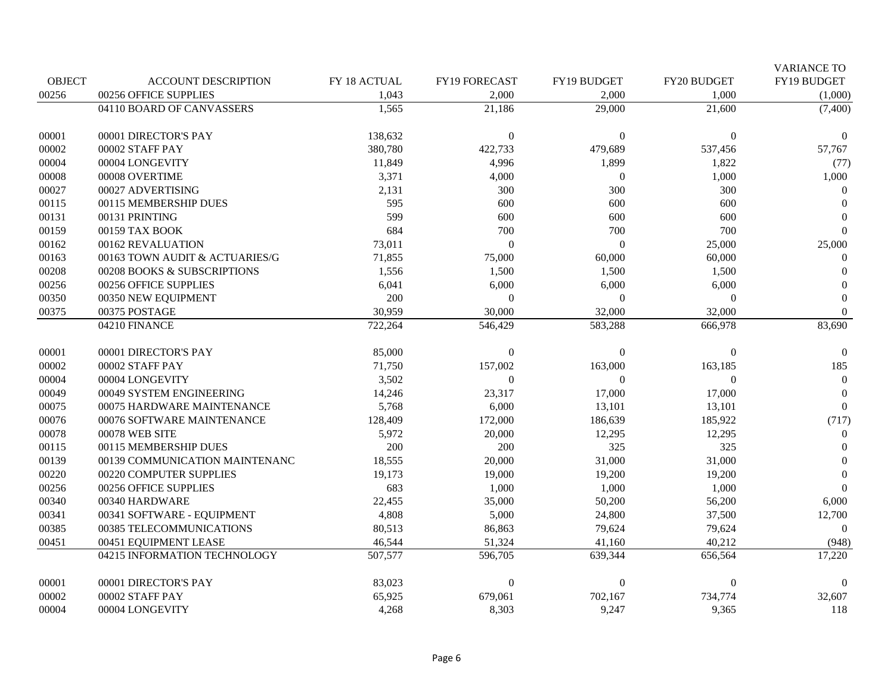|               |                                |              |                  |                  |              | <b>VARIANCE TO</b> |
|---------------|--------------------------------|--------------|------------------|------------------|--------------|--------------------|
| <b>OBJECT</b> | <b>ACCOUNT DESCRIPTION</b>     | FY 18 ACTUAL | FY19 FORECAST    | FY19 BUDGET      | FY20 BUDGET  | FY19 BUDGET        |
| 00256         | 00256 OFFICE SUPPLIES          | 1,043        | 2,000            | 2,000            | 1,000        | (1,000)            |
|               | 04110 BOARD OF CANVASSERS      | 1,565        | 21,186           | 29,000           | 21,600       | (7,400)            |
| 00001         | 00001 DIRECTOR'S PAY           | 138,632      | $\mathbf{0}$     | $\Omega$         | $\Omega$     | $\Omega$           |
| 00002         | 00002 STAFF PAY                | 380,780      | 422,733          | 479,689          | 537,456      | 57,767             |
| 00004         | 00004 LONGEVITY                | 11,849       | 4,996            | 1,899            | 1,822        | (77)               |
| 00008         | 00008 OVERTIME                 | 3,371        | 4,000            | $\overline{0}$   | 1,000        | 1,000              |
| 00027         | 00027 ADVERTISING              | 2,131        | 300              | 300              | 300          | $\Omega$           |
| 00115         | 00115 MEMBERSHIP DUES          | 595          | 600              | 600              | 600          | $\Omega$           |
| 00131         | 00131 PRINTING                 | 599          | 600              | 600              | 600          | $\Omega$           |
| 00159         | 00159 TAX BOOK                 | 684          | 700              | 700              | 700          | $\Omega$           |
| 00162         | 00162 REVALUATION              | 73,011       | $\theta$         | $\Omega$         | 25,000       | 25,000             |
| 00163         | 00163 TOWN AUDIT & ACTUARIES/G | 71,855       | 75,000           | 60,000           | 60,000       | $\Omega$           |
| 00208         | 00208 BOOKS & SUBSCRIPTIONS    | 1,556        | 1,500            | 1,500            | 1,500        | $\Omega$           |
| 00256         | 00256 OFFICE SUPPLIES          | 6,041        | 6,000            | 6,000            | 6,000        | $\theta$           |
| 00350         | 00350 NEW EQUIPMENT            | 200          | $\overline{0}$   | $\mathbf{0}$     | $\mathbf{0}$ | $\overline{0}$     |
| 00375         | 00375 POSTAGE                  | 30,959       | 30,000           | 32,000           | 32,000       | $\overline{0}$     |
|               | 04210 FINANCE                  | 722,264      | 546,429          | 583,288          | 666,978      | 83,690             |
| 00001         | 00001 DIRECTOR'S PAY           | 85,000       | $\boldsymbol{0}$ | $\Omega$         | $\Omega$     | $\mathbf{0}$       |
| 00002         | 00002 STAFF PAY                | 71,750       | 157,002          | 163,000          | 163,185      | 185                |
| 00004         | 00004 LONGEVITY                | 3,502        | $\boldsymbol{0}$ | $\Omega$         | $\Omega$     | $\Omega$           |
| 00049         | 00049 SYSTEM ENGINEERING       | 14,246       | 23,317           | 17,000           | 17,000       | $\overline{0}$     |
| 00075         | 00075 HARDWARE MAINTENANCE     | 5,768        | 6,000            | 13,101           | 13,101       | $\boldsymbol{0}$   |
| 00076         | 00076 SOFTWARE MAINTENANCE     | 128,409      | 172,000          | 186,639          | 185,922      | (717)              |
| 00078         | 00078 WEB SITE                 | 5,972        | 20,000           | 12,295           | 12,295       | $\theta$           |
| 00115         | 00115 MEMBERSHIP DUES          | 200          | 200              | 325              | 325          | $\theta$           |
| 00139         | 00139 COMMUNICATION MAINTENANC | 18,555       | 20,000           | 31,000           | 31,000       | $\theta$           |
| 00220         | 00220 COMPUTER SUPPLIES        | 19,173       | 19,000           | 19,200           | 19,200       | $\theta$           |
| 00256         | 00256 OFFICE SUPPLIES          | 683          | 1,000            | 1,000            | 1,000        | $\Omega$           |
| 00340         | 00340 HARDWARE                 | 22,455       | 35,000           | 50,200           | 56,200       | 6,000              |
| 00341         | 00341 SOFTWARE - EQUIPMENT     | 4,808        | 5,000            | 24,800           | 37,500       | 12,700             |
| 00385         | 00385 TELECOMMUNICATIONS       | 80,513       | 86,863           | 79,624           | 79,624       | $\Omega$           |
| 00451         | 00451 EQUIPMENT LEASE          | 46,544       | 51,324           | 41,160           | 40,212       | (948)              |
|               | 04215 INFORMATION TECHNOLOGY   | 507,577      | 596,705          | 639,344          | 656,564      | 17,220             |
| 00001         | 00001 DIRECTOR'S PAY           | 83,023       | $\boldsymbol{0}$ | $\boldsymbol{0}$ | 0            | $\theta$           |
| 00002         | 00002 STAFF PAY                | 65,925       | 679,061          | 702,167          | 734,774      | 32,607             |
| 00004         | 00004 LONGEVITY                | 4,268        | 8,303            | 9,247            | 9,365        | 118                |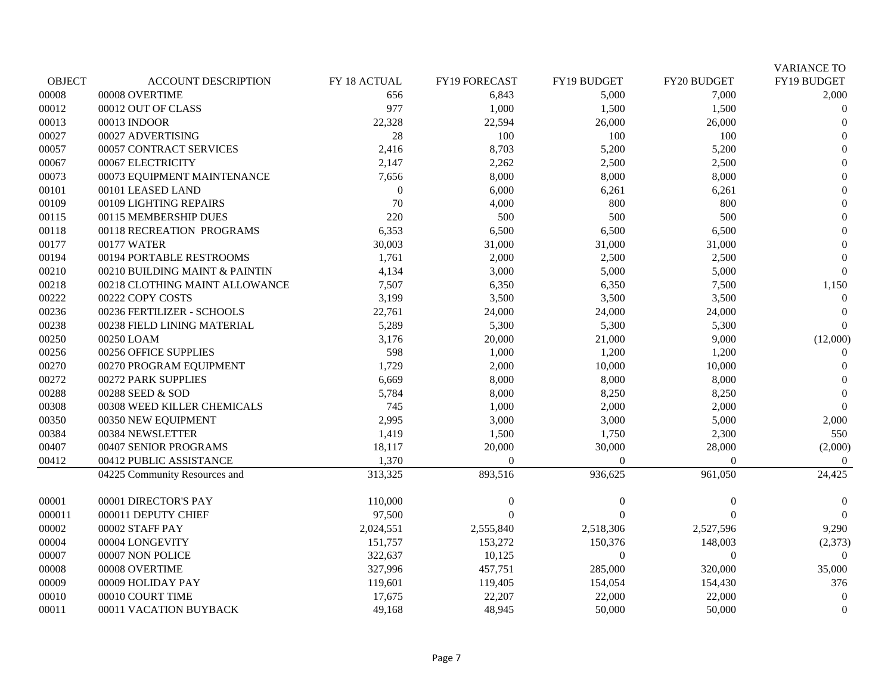|               |                                |              |                |                  |                | <b>VARIANCE TO</b> |
|---------------|--------------------------------|--------------|----------------|------------------|----------------|--------------------|
| <b>OBJECT</b> | <b>ACCOUNT DESCRIPTION</b>     | FY 18 ACTUAL | FY19 FORECAST  | FY19 BUDGET      | FY20 BUDGET    | FY19 BUDGET        |
| 00008         | 00008 OVERTIME                 | 656          | 6,843          | 5,000            | 7,000          | 2,000              |
| 00012         | 00012 OUT OF CLASS             | 977          | 1,000          | 1,500            | 1,500          | $\Omega$           |
| 00013         | 00013 INDOOR                   | 22,328       | 22,594         | 26,000           | 26,000         | $\Omega$           |
| 00027         | 00027 ADVERTISING              | 28           | 100            | 100              | 100            | $\Omega$           |
| 00057         | 00057 CONTRACT SERVICES        | 2,416        | 8,703          | 5,200            | 5,200          | $\Omega$           |
| 00067         | 00067 ELECTRICITY              | 2,147        | 2,262          | 2,500            | 2,500          | $\Omega$           |
| 00073         | 00073 EQUIPMENT MAINTENANCE    | 7,656        | 8,000          | 8,000            | 8,000          | $\Omega$           |
| $00101\,$     | 00101 LEASED LAND              | $\mathbf{0}$ | 6,000          | 6,261            | 6,261          | $\Omega$           |
| 00109         | 00109 LIGHTING REPAIRS         | 70           | 4,000          | 800              | 800            | $\theta$           |
| 00115         | 00115 MEMBERSHIP DUES          | 220          | 500            | 500              | 500            | $\mathbf{0}$       |
| 00118         | 00118 RECREATION PROGRAMS      | 6,353        | 6,500          | 6,500            | 6,500          | $\theta$           |
| 00177         | 00177 WATER                    | 30,003       | 31,000         | 31,000           | 31,000         | $\Omega$           |
| 00194         | 00194 PORTABLE RESTROOMS       | 1,761        | 2,000          | 2,500            | 2,500          | $\Omega$           |
| 00210         | 00210 BUILDING MAINT & PAINTIN | 4,134        | 3,000          | 5,000            | 5,000          | $\Omega$           |
| 00218         | 00218 CLOTHING MAINT ALLOWANCE | 7,507        | 6,350          | 6,350            | 7,500          | 1,150              |
| 00222         | 00222 COPY COSTS               | 3,199        | 3,500          | 3,500            | 3,500          | $\theta$           |
| 00236         | 00236 FERTILIZER - SCHOOLS     | 22,761       | 24,000         | 24,000           | 24,000         | $\theta$           |
| 00238         | 00238 FIELD LINING MATERIAL    | 5,289        | 5,300          | 5,300            | 5,300          | $\Omega$           |
| 00250         | 00250 LOAM                     | 3,176        | 20,000         | 21,000           | 9,000          | (12,000)           |
| 00256         | 00256 OFFICE SUPPLIES          | 598          | 1,000          | 1,200            | 1,200          | $\Omega$           |
| 00270         | 00270 PROGRAM EQUIPMENT        | 1,729        | 2,000          | 10,000           | 10,000         | $\Omega$           |
| 00272         | 00272 PARK SUPPLIES            | 6,669        | 8,000          | 8,000            | 8,000          | $\Omega$           |
| 00288         | 00288 SEED & SOD               | 5,784        | 8,000          | 8,250            | 8,250          | $\Omega$           |
| 00308         | 00308 WEED KILLER CHEMICALS    | 745          | 1,000          | 2,000            | 2,000          | $\Omega$           |
| 00350         | 00350 NEW EQUIPMENT            | 2,995        | 3,000          | 3,000            | 5,000          | 2,000              |
| 00384         | 00384 NEWSLETTER               | 1,419        | 1,500          | 1,750            | 2,300          | 550                |
| 00407         | 00407 SENIOR PROGRAMS          | 18,117       | 20,000         | 30,000           | 28,000         | (2,000)            |
| 00412         | 00412 PUBLIC ASSISTANCE        | 1,370        | $\overline{0}$ | $\overline{0}$   | $\overline{0}$ | $\theta$           |
|               | 04225 Community Resources and  | 313,325      | 893,516        | 936,625          | 961,050        | 24,425             |
| 00001         | 00001 DIRECTOR'S PAY           | 110,000      | $\bf{0}$       | $\overline{0}$   | $\theta$       | $\Omega$           |
| 000011        | 000011 DEPUTY CHIEF            | 97,500       | $\Omega$       | $\Omega$         | $\Omega$       | $\Omega$           |
| 00002         | 00002 STAFF PAY                | 2,024,551    | 2,555,840      | 2,518,306        | 2,527,596      | 9,290              |
| 00004         | 00004 LONGEVITY                | 151,757      | 153,272        | 150,376          | 148,003        | (2,373)            |
| 00007         | 00007 NON POLICE               | 322,637      | 10,125         | $\boldsymbol{0}$ | $\Omega$       | $\Omega$           |
| 00008         | 00008 OVERTIME                 | 327,996      | 457,751        | 285,000          | 320,000        | 35,000             |
| 00009         | 00009 HOLIDAY PAY              | 119,601      | 119,405        | 154,054          | 154,430        | 376                |
| 00010         | 00010 COURT TIME               | 17,675       | 22,207         | 22,000           | 22,000         | $\Omega$           |
| 00011         | 00011 VACATION BUYBACK         | 49,168       | 48,945         | 50,000           | 50,000         | $\mathbf{0}$       |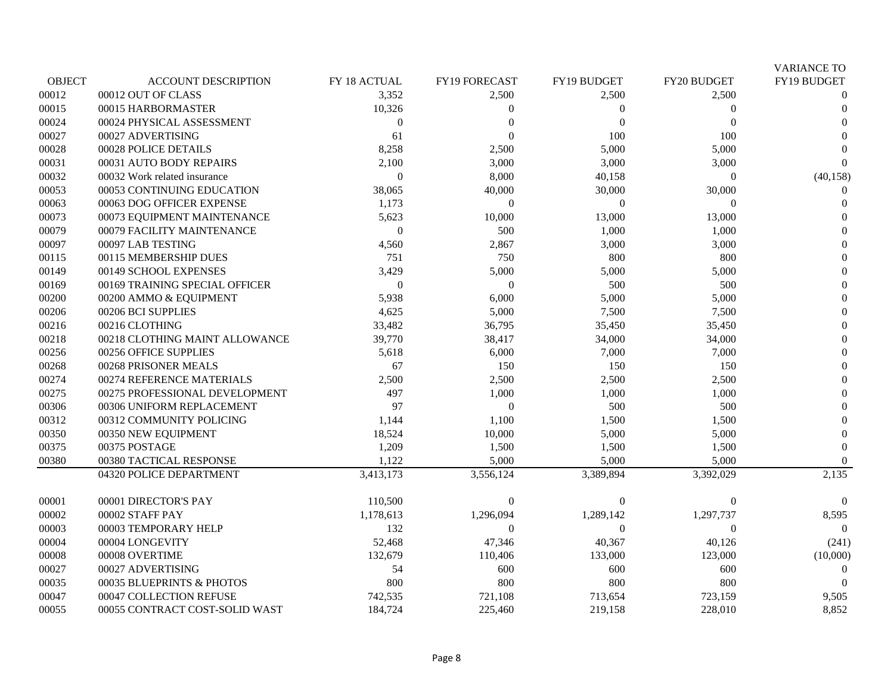|               |                                |                  |                  |                        |             | <b>VARIANCE TO</b> |
|---------------|--------------------------------|------------------|------------------|------------------------|-------------|--------------------|
| <b>OBJECT</b> | <b>ACCOUNT DESCRIPTION</b>     | FY 18 ACTUAL     | FY19 FORECAST    | FY19 BUDGET            | FY20 BUDGET | FY19 BUDGET        |
| 00012         | 00012 OUT OF CLASS             | 3,352            | 2,500            | 2,500                  | 2,500       | 0                  |
| 00015         | 00015 HARBORMASTER             | 10,326           | $\boldsymbol{0}$ | $\theta$               | 0           | $\Omega$           |
| 00024         | 00024 PHYSICAL ASSESSMENT      | $\boldsymbol{0}$ | $\overline{0}$   | $\overline{0}$         | $\Omega$    | $\theta$           |
| 00027         | 00027 ADVERTISING              | 61               | $\theta$         | 100                    | 100         | $\Omega$           |
| 00028         | 00028 POLICE DETAILS           | 8,258            | 2,500            | 5,000                  | 5,000       | $\Omega$           |
| 00031         | 00031 AUTO BODY REPAIRS        | 2,100            | 3,000            | 3,000                  | 3,000       | $\Omega$           |
| 00032         | 00032 Work related insurance   | $\overline{0}$   | 8,000            | 40,158                 |             | (40, 158)          |
| 00053         | 00053 CONTINUING EDUCATION     | 38,065           | 40,000           | 30,000                 | 30,000      | 0                  |
| 00063         | 00063 DOG OFFICER EXPENSE      | 1,173            | $\mathbf{0}$     | $\theta$               | $\Omega$    | $\Omega$           |
| 00073         | 00073 EQUIPMENT MAINTENANCE    | 5,623            | 10,000           | 13,000                 | 13,000      | $\theta$           |
| 00079         | 00079 FACILITY MAINTENANCE     | $\Omega$         | 500              | 1,000                  | 1,000       | $\theta$           |
| 00097         | 00097 LAB TESTING              | 4,560            | 2,867            | 3,000                  | 3,000       | $\Omega$           |
| 00115         | 00115 MEMBERSHIP DUES          | 751              | 750              | 800                    | 800         | $\Omega$           |
| 00149         | 00149 SCHOOL EXPENSES          | 3,429            | 5,000            | 5,000                  | 5,000       | $\theta$           |
| 00169         | 00169 TRAINING SPECIAL OFFICER | $\overline{0}$   | $\boldsymbol{0}$ | 500                    | 500         | $\overline{0}$     |
| 00200         | 00200 AMMO & EQUIPMENT         | 5,938            | 6,000            | 5,000                  | 5,000       | $\theta$           |
| 00206         | 00206 BCI SUPPLIES             | 4,625            | 5,000            | 7,500                  | 7,500       | $\overline{0}$     |
| 00216         | 00216 CLOTHING                 | 33,482           | 36,795           | 35,450                 | 35,450      | $\overline{0}$     |
| 00218         | 00218 CLOTHING MAINT ALLOWANCE | 39,770           | 38,417           | 34,000                 | 34,000      | $\Omega$           |
| 00256         | 00256 OFFICE SUPPLIES          | 5,618            | 6,000            | 7,000                  | 7,000       | $\theta$           |
| 00268         | 00268 PRISONER MEALS           | 67               | 150              | 150                    | 150         | $\theta$           |
| 00274         | 00274 REFERENCE MATERIALS      | 2,500            | 2,500            | 2,500                  | 2,500       | $\theta$           |
| 00275         | 00275 PROFESSIONAL DEVELOPMENT | 497              | 1,000            | 1,000                  | 1,000       | $\boldsymbol{0}$   |
| 00306         | 00306 UNIFORM REPLACEMENT      | 97               | $\theta$         | 500                    | 500         | $\theta$           |
| 00312         | 00312 COMMUNITY POLICING       | 1,144            | 1,100            | 1,500                  | 1,500       |                    |
| 00350         | 00350 NEW EQUIPMENT            | 18,524           | 10,000           | 5,000                  | 5,000       | $\Omega$           |
| 00375         | 00375 POSTAGE                  | 1,209            | 1,500            | 1,500                  | 1,500       | $\theta$           |
| 00380         | 00380 TACTICAL RESPONSE        | 1,122            | 5,000            | 5,000                  | 5,000       | $\Omega$           |
|               | 04320 POLICE DEPARTMENT        | 3,413,173        | 3,556,124        | $\overline{3,389,894}$ | 3,392,029   | 2,135              |
| 00001         | 00001 DIRECTOR'S PAY           | 110,500          | $\theta$         | $\Omega$               |             | $\Omega$           |
| 00002         | 00002 STAFF PAY                | 1,178,613        | 1,296,094        | 1,289,142              | 1,297,737   | 8,595              |
| 00003         | 00003 TEMPORARY HELP           | 132              | $\theta$         | $\theta$               | 0           | $\Omega$           |
| 00004         | 00004 LONGEVITY                | 52,468           | 47,346           | 40,367                 | 40,126      | (241)              |
| 00008         | 00008 OVERTIME                 | 132,679          | 110,406          | 133,000                | 123,000     | (10,000)           |
| 00027         | 00027 ADVERTISING              | 54               | 600              | 600                    | 600         | 0                  |
| 00035         | 00035 BLUEPRINTS & PHOTOS      | 800              | 800              | 800                    | 800         | $\Omega$           |
| 00047         | 00047 COLLECTION REFUSE        | 742,535          | 721,108          | 713,654                | 723,159     | 9,505              |
| 00055         | 00055 CONTRACT COST-SOLID WAST | 184,724          | 225,460          | 219,158                | 228,010     | 8,852              |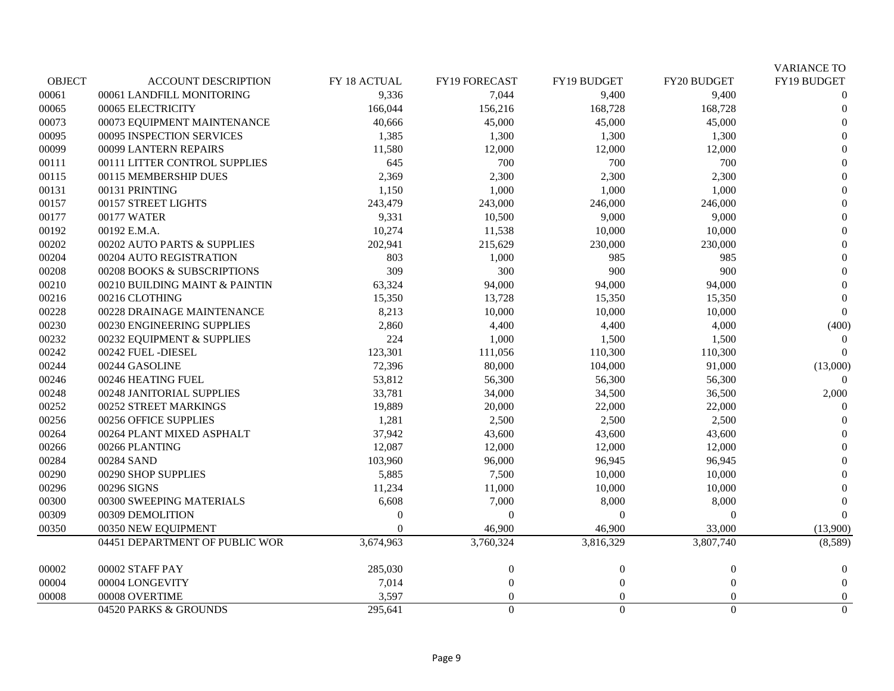|               |                                |              |                  |                  |                | <b>VARIANCE TO</b> |
|---------------|--------------------------------|--------------|------------------|------------------|----------------|--------------------|
| <b>OBJECT</b> | <b>ACCOUNT DESCRIPTION</b>     | FY 18 ACTUAL | FY19 FORECAST    | FY19 BUDGET      | FY20 BUDGET    | FY19 BUDGET        |
| 00061         | 00061 LANDFILL MONITORING      | 9,336        | 7,044            | 9,400            | 9,400          | $\theta$           |
| 00065         | 00065 ELECTRICITY              | 166,044      | 156,216          | 168,728          | 168,728        | $\theta$           |
| 00073         | 00073 EQUIPMENT MAINTENANCE    | 40,666       | 45,000           | 45,000           | 45,000         | $\theta$           |
| 00095         | 00095 INSPECTION SERVICES      | 1,385        | 1,300            | 1,300            | 1,300          | $\overline{0}$     |
| 00099         | 00099 LANTERN REPAIRS          | 11,580       | 12,000           | 12,000           | 12,000         | $\theta$           |
| 00111         | 00111 LITTER CONTROL SUPPLIES  | 645          | 700              | 700              | 700            | $\theta$           |
| 00115         | 00115 MEMBERSHIP DUES          | 2,369        | 2,300            | 2,300            | 2,300          | $\theta$           |
| 00131         | 00131 PRINTING                 | 1,150        | 1,000            | 1,000            | 1,000          | $\theta$           |
| 00157         | 00157 STREET LIGHTS            | 243,479      | 243,000          | 246,000          | 246,000        | $\overline{0}$     |
| 00177         | 00177 WATER                    | 9,331        | 10,500           | 9,000            | 9,000          | $\overline{0}$     |
| 00192         | 00192 E.M.A.                   | 10,274       | 11,538           | 10,000           | 10,000         | $\boldsymbol{0}$   |
| 00202         | 00202 AUTO PARTS & SUPPLIES    | 202,941      | 215,629          | 230,000          | 230,000        | $\theta$           |
| 00204         | 00204 AUTO REGISTRATION        | 803          | 1,000            | 985              | 985            | $\overline{0}$     |
| 00208         | 00208 BOOKS & SUBSCRIPTIONS    | 309          | 300              | 900              | 900            | $\theta$           |
| 00210         | 00210 BUILDING MAINT & PAINTIN | 63,324       | 94,000           | 94,000           | 94,000         | $\theta$           |
| 00216         | 00216 CLOTHING                 | 15,350       | 13,728           | 15,350           | 15,350         | $\overline{0}$     |
| 00228         | 00228 DRAINAGE MAINTENANCE     | 8,213        | 10,000           | 10,000           | 10,000         | $\Omega$           |
| 00230         | 00230 ENGINEERING SUPPLIES     | 2,860        | 4,400            | 4,400            | 4,000          | (400)              |
| 00232         | 00232 EQUIPMENT & SUPPLIES     | 224          | 1,000            | 1,500            | 1,500          | 0                  |
| 00242         | 00242 FUEL -DIESEL             | 123,301      | 111,056          | 110,300          | 110,300        | $\Omega$           |
| 00244         | 00244 GASOLINE                 | 72,396       | 80,000           | 104,000          | 91,000         | (13,000)           |
| 00246         | 00246 HEATING FUEL             | 53,812       | 56,300           | 56,300           | 56,300         | $\Omega$           |
| 00248         | 00248 JANITORIAL SUPPLIES      | 33,781       | 34,000           | 34,500           | 36,500         | 2,000              |
| 00252         | 00252 STREET MARKINGS          | 19,889       | 20,000           | 22,000           | 22,000         |                    |
| 00256         | 00256 OFFICE SUPPLIES          | 1,281        | 2,500            | 2,500            | 2,500          |                    |
| 00264         | 00264 PLANT MIXED ASPHALT      | 37,942       | 43,600           | 43,600           | 43,600         | $\theta$           |
| 00266         | 00266 PLANTING                 | 12,087       | 12,000           | 12,000           | 12,000         | $\theta$           |
| 00284         | 00284 SAND                     | 103,960      | 96,000           | 96,945           | 96,945         | $\overline{0}$     |
| 00290         | 00290 SHOP SUPPLIES            | 5,885        | 7,500            | 10,000           | 10,000         | $\Omega$           |
| 00296         | 00296 SIGNS                    | 11,234       | 11,000           | 10,000           | 10,000         | $\Omega$           |
| 00300         | 00300 SWEEPING MATERIALS       | 6,608        | 7,000            | 8,000            | 8,000          | $\Omega$           |
| 00309         | 00309 DEMOLITION               | $\Omega$     | $\boldsymbol{0}$ | $\Omega$         | $\Omega$       | $\Omega$           |
| 00350         | 00350 NEW EQUIPMENT            | $\Omega$     | 46,900           | 46,900           | 33,000         | (13,900)           |
|               | 04451 DEPARTMENT OF PUBLIC WOR | 3,674,963    | 3,760,324        | 3,816,329        | 3,807,740      | (8,589)            |
| 00002         | 00002 STAFF PAY                | 285,030      | $\bf{0}$         | $\theta$         | $\theta$       | $\theta$           |
| 00004         | 00004 LONGEVITY                | 7,014        | $\mathbf{0}$     | $\theta$         | $\Omega$       | $\theta$           |
| 00008         | 00008 OVERTIME                 | 3,597        | $\mathbf{0}$     | $\overline{0}$   | $\Omega$       | $\overline{0}$     |
|               | 04520 PARKS & GROUNDS          | 295,641      | $\Omega$         | $\boldsymbol{0}$ | $\overline{0}$ | $\boldsymbol{0}$   |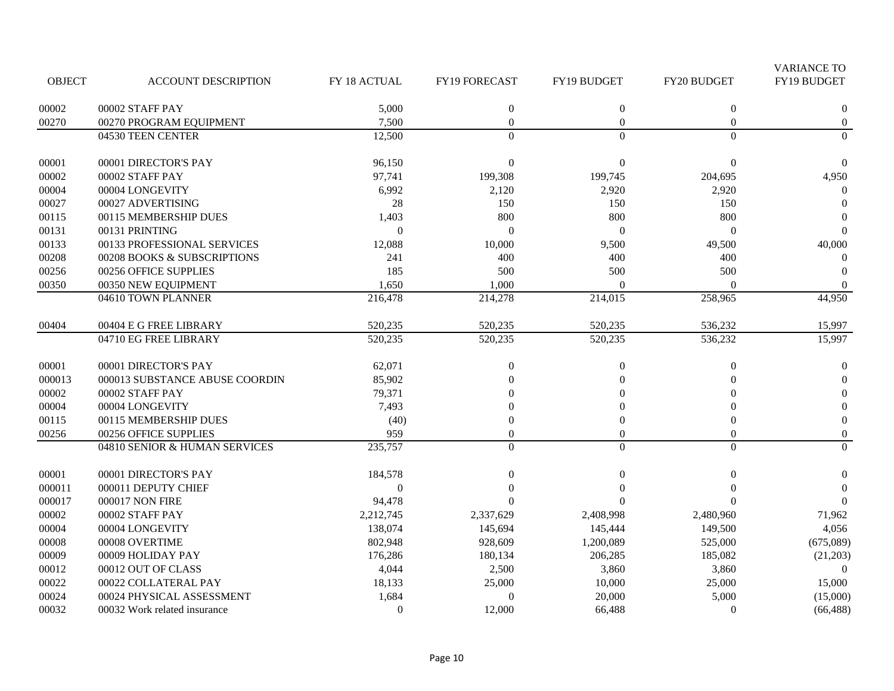|               |                                |                |                  |                    |                    | <b>VARIANCE TO</b> |
|---------------|--------------------------------|----------------|------------------|--------------------|--------------------|--------------------|
| <b>OBJECT</b> | <b>ACCOUNT DESCRIPTION</b>     | FY 18 ACTUAL   | FY19 FORECAST    | <b>FY19 BUDGET</b> | <b>FY20 BUDGET</b> | FY19 BUDGET        |
| 00002         | 00002 STAFF PAY                | 5,000          | $\boldsymbol{0}$ | $\mathbf{0}$       | $\boldsymbol{0}$   | $\boldsymbol{0}$   |
| 00270         | 00270 PROGRAM EQUIPMENT        | 7,500          | $\mathbf{0}$     | $\mathbf{0}$       | $\mathbf{0}$       | $\boldsymbol{0}$   |
|               | 04530 TEEN CENTER              | 12,500         | $\Omega$         | $\mathbf{0}$       | $\boldsymbol{0}$   | $\mathbf{0}$       |
| 00001         | 00001 DIRECTOR'S PAY           | 96,150         | $\boldsymbol{0}$ | $\theta$           | $\Omega$           | $\Omega$           |
| 00002         | 00002 STAFF PAY                | 97,741         | 199,308          | 199,745            | 204,695            | 4,950              |
| 00004         | 00004 LONGEVITY                | 6,992          | 2,120            | 2,920              | 2,920              | $\Omega$           |
| 00027         | 00027 ADVERTISING              | 28             | 150              | 150                | 150                | $\Omega$           |
| 00115         | 00115 MEMBERSHIP DUES          | 1,403          | 800              | 800                | 800                | $\Omega$           |
| 00131         | 00131 PRINTING                 | $\Omega$       | $\overline{0}$   | $\Omega$           | $\theta$           | $\Omega$           |
| 00133         | 00133 PROFESSIONAL SERVICES    | 12,088         | 10,000           | 9,500              | 49,500             | 40,000             |
| 00208         | 00208 BOOKS & SUBSCRIPTIONS    | 241            | 400              | 400                | 400                | $\overline{0}$     |
| 00256         | 00256 OFFICE SUPPLIES          | 185            | 500              | 500                | 500                | $\Omega$           |
| 00350         | 00350 NEW EQUIPMENT            | 1,650          | 1,000            | $\Omega$           | $\Omega$           | $\overline{0}$     |
|               | 04610 TOWN PLANNER             | 216,478        | 214,278          | 214,015            | 258,965            | 44,950             |
| 00404         | 00404 E G FREE LIBRARY         | 520,235        | 520,235          | 520,235            | 536,232            | 15,997             |
|               | 04710 EG FREE LIBRARY          | 520,235        | 520,235          | 520,235            | 536,232            | 15,997             |
| 00001         | 00001 DIRECTOR'S PAY           | 62,071         | $\boldsymbol{0}$ | $\boldsymbol{0}$   | $\boldsymbol{0}$   | $\boldsymbol{0}$   |
| 000013        | 000013 SUBSTANCE ABUSE COORDIN | 85,902         | $\Omega$         | $\theta$           | $\overline{0}$     | $\Omega$           |
| 00002         | 00002 STAFF PAY                | 79,371         |                  | $\Omega$           | $\Omega$           | $\overline{0}$     |
| 00004         | 00004 LONGEVITY                | 7,493          | $\Omega$         | $\Omega$           | $\Omega$           | $\overline{0}$     |
| 00115         | 00115 MEMBERSHIP DUES          | (40)           | 0                | $\theta$           | $\overline{0}$     | $\boldsymbol{0}$   |
| 00256         | 00256 OFFICE SUPPLIES          | 959            | $\theta$         | $\mathbf{0}$       | $\mathbf{0}$       | $\boldsymbol{0}$   |
|               | 04810 SENIOR & HUMAN SERVICES  | 235,757        | $\mathbf{0}$     | $\mathbf{0}$       | $\boldsymbol{0}$   | $\boldsymbol{0}$   |
| 00001         | 00001 DIRECTOR'S PAY           | 184,578        | $\Omega$         | $\theta$           | $\Omega$           | $\boldsymbol{0}$   |
| 000011        | 000011 DEPUTY CHIEF            | $\overline{0}$ | $\Omega$         | $\Omega$           | $\Omega$           | $\Omega$           |
| 000017        | 000017 NON FIRE                | 94,478         | $\Omega$         | $\Omega$           |                    | $\Omega$           |
| 00002         | 00002 STAFF PAY                | 2,212,745      | 2,337,629        | 2,408,998          | 2,480,960          | 71,962             |
| 00004         | 00004 LONGEVITY                | 138,074        | 145,694          | 145,444            | 149,500            | 4,056              |
| 00008         | 00008 OVERTIME                 | 802,948        | 928,609          | 1,200,089          | 525,000            | (675,089)          |
| 00009         | 00009 HOLIDAY PAY              | 176,286        | 180,134          | 206,285            | 185,082            | (21,203)           |
| 00012         | 00012 OUT OF CLASS             | 4,044          | 2,500            | 3,860              | 3,860              | $\Omega$           |
| 00022         | 00022 COLLATERAL PAY           | 18,133         | 25,000           | 10,000             | 25,000             | 15,000             |
| 00024         | 00024 PHYSICAL ASSESSMENT      | 1,684          | $\overline{0}$   | 20,000             | 5,000              | (15,000)           |
| 00032         | 00032 Work related insurance   | $\mathbf{0}$   | 12,000           | 66,488             | $\Omega$           | (66, 488)          |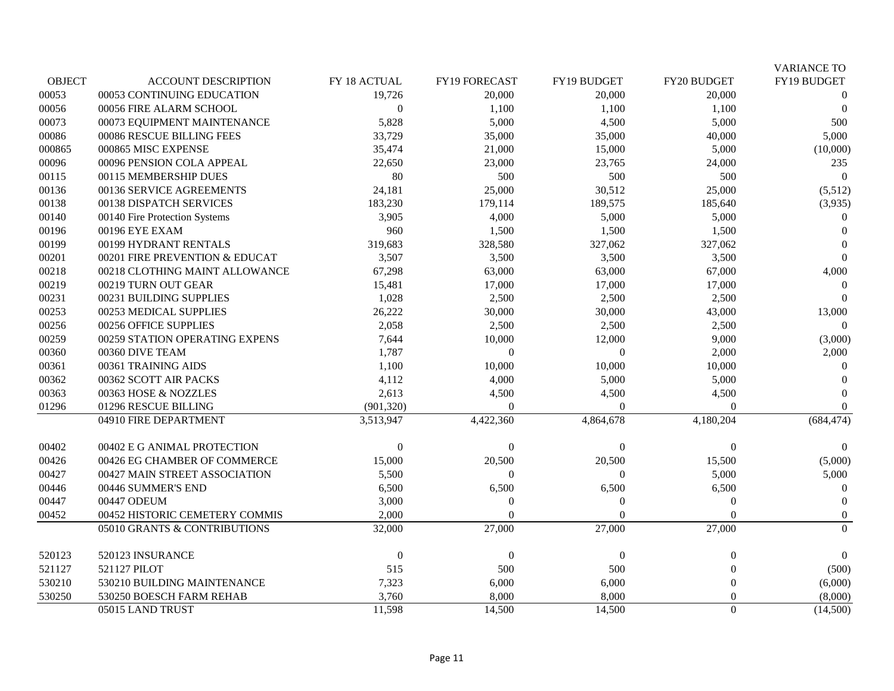|               |                                |                  |                  |                  |                  | <b>VARIANCE TO</b> |
|---------------|--------------------------------|------------------|------------------|------------------|------------------|--------------------|
| <b>OBJECT</b> | <b>ACCOUNT DESCRIPTION</b>     | FY 18 ACTUAL     | FY19 FORECAST    | FY19 BUDGET      | FY20 BUDGET      | FY19 BUDGET        |
| 00053         | 00053 CONTINUING EDUCATION     | 19,726           | 20,000           | 20,000           | 20,000           | $\overline{0}$     |
| 00056         | 00056 FIRE ALARM SCHOOL        | $\mathbf{0}$     | 1,100            | 1,100            | 1,100            | $\Omega$           |
| 00073         | 00073 EQUIPMENT MAINTENANCE    | 5,828            | 5,000            | 4,500            | 5,000            | 500                |
| 00086         | 00086 RESCUE BILLING FEES      | 33,729           | 35,000           | 35,000           | 40,000           | 5,000              |
| 000865        | 000865 MISC EXPENSE            | 35,474           | 21,000           | 15,000           | 5,000            | (10,000)           |
| 00096         | 00096 PENSION COLA APPEAL      | 22,650           | 23,000           | 23,765           | 24,000           | 235                |
| 00115         | 00115 MEMBERSHIP DUES          | 80               | 500              | 500              | 500              | $\Omega$           |
| 00136         | 00136 SERVICE AGREEMENTS       | 24,181           | 25,000           | 30,512           | 25,000           | (5,512)            |
| 00138         | 00138 DISPATCH SERVICES        | 183,230          | 179,114          | 189,575          | 185,640          | (3,935)            |
| 00140         | 00140 Fire Protection Systems  | 3,905            | 4,000            | 5,000            | 5,000            | $\overline{0}$     |
| 00196         | 00196 EYE EXAM                 | 960              | 1,500            | 1,500            | 1,500            | $\theta$           |
| 00199         | 00199 HYDRANT RENTALS          | 319,683          | 328,580          | 327,062          | 327,062          |                    |
| 00201         | 00201 FIRE PREVENTION & EDUCAT | 3,507            | 3,500            | 3,500            | 3,500            | $\Omega$           |
| 00218         | 00218 CLOTHING MAINT ALLOWANCE | 67,298           | 63,000           | 63,000           | 67,000           | 4,000              |
| 00219         | 00219 TURN OUT GEAR            | 15,481           | 17,000           | 17,000           | 17,000           | $\theta$           |
| 00231         | 00231 BUILDING SUPPLIES        | 1,028            | 2,500            | 2,500            | 2,500            | $\Omega$           |
| 00253         | 00253 MEDICAL SUPPLIES         | 26,222           | 30,000           | 30,000           | 43,000           | 13,000             |
| 00256         | 00256 OFFICE SUPPLIES          | 2,058            | 2,500            | 2,500            | 2,500            |                    |
| 00259         | 00259 STATION OPERATING EXPENS | 7,644            | 10,000           | 12,000           | 9,000            | (3,000)            |
| 00360         | 00360 DIVE TEAM                | 1,787            | $\boldsymbol{0}$ | $\overline{0}$   | 2,000            | 2,000              |
| 00361         | 00361 TRAINING AIDS            | 1,100            | 10,000           | 10,000           | 10,000           | $\Omega$           |
| 00362         | 00362 SCOTT AIR PACKS          | 4,112            | 4,000            | 5,000            | 5,000            | $\theta$           |
| 00363         | 00363 HOSE & NOZZLES           | 2,613            | 4,500            | 4,500            | 4,500            | $\Omega$           |
| 01296         | 01296 RESCUE BILLING           | (901, 320)       | $\theta$         | $\overline{0}$   | $\theta$         | $\overline{0}$     |
|               | 04910 FIRE DEPARTMENT          | 3,513,947        | 4,422,360        | 4,864,678        | 4,180,204        | (684, 474)         |
| 00402         | 00402 E G ANIMAL PROTECTION    | $\boldsymbol{0}$ | $\mathbf{0}$     | $\overline{0}$   | $\Omega$         | $\overline{0}$     |
| 00426         | 00426 EG CHAMBER OF COMMERCE   | 15,000           | 20,500           | 20,500           | 15,500           | (5,000)            |
| 00427         | 00427 MAIN STREET ASSOCIATION  | 5,500            | $\Omega$         | $\Omega$         | 5,000            | 5,000              |
| 00446         | 00446 SUMMER'S END             | 6,500            | 6,500            | 6,500            | 6,500            | $\Omega$           |
| 00447         | 00447 ODEUM                    | 3,000            | $\boldsymbol{0}$ | $\boldsymbol{0}$ | $\theta$         | $\Omega$           |
| 00452         | 00452 HISTORIC CEMETERY COMMIS | 2,000            | $\Omega$         | $\theta$         | $\Omega$         | $\boldsymbol{0}$   |
|               | 05010 GRANTS & CONTRIBUTIONS   | 32,000           | 27,000           | 27,000           | 27,000           | $\Omega$           |
| 520123        | 520123 INSURANCE               | $\boldsymbol{0}$ | $\boldsymbol{0}$ | $\boldsymbol{0}$ | $\boldsymbol{0}$ | $\overline{0}$     |
| 521127        | 521127 PILOT                   | 515              | 500              | 500              | $\theta$         | (500)              |
| 530210        | 530210 BUILDING MAINTENANCE    | 7,323            | 6,000            | 6,000            | $\theta$         | (6,000)            |
| 530250        | 530250 BOESCH FARM REHAB       | 3,760            | 8,000            | 8,000            | $\theta$         | (8,000)            |
|               | 05015 LAND TRUST               | 11,598           | 14,500           | 14,500           | $\overline{0}$   | (14,500)           |
|               |                                |                  |                  |                  |                  |                    |